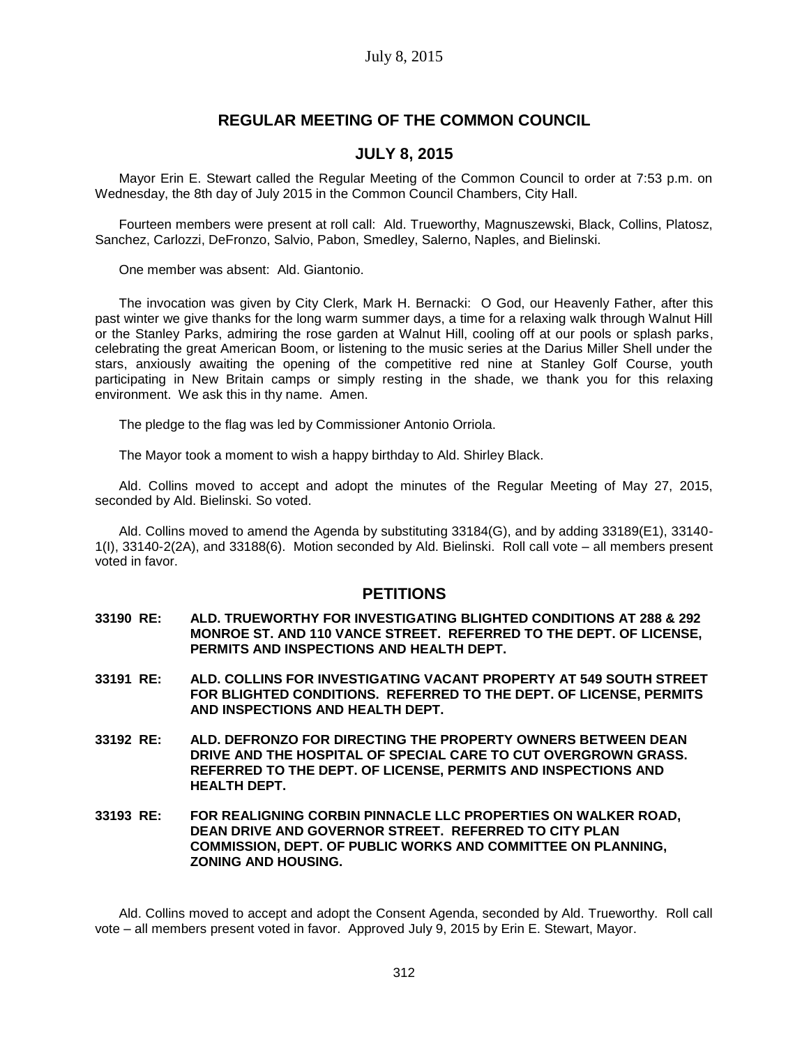# **REGULAR MEETING OF THE COMMON COUNCIL**

## **JULY 8, 2015**

Mayor Erin E. Stewart called the Regular Meeting of the Common Council to order at 7:53 p.m. on Wednesday, the 8th day of July 2015 in the Common Council Chambers, City Hall.

Fourteen members were present at roll call: Ald. Trueworthy, Magnuszewski, Black, Collins, Platosz, Sanchez, Carlozzi, DeFronzo, Salvio, Pabon, Smedley, Salerno, Naples, and Bielinski.

One member was absent: Ald. Giantonio.

The invocation was given by City Clerk, Mark H. Bernacki: O God, our Heavenly Father, after this past winter we give thanks for the long warm summer days, a time for a relaxing walk through Walnut Hill or the Stanley Parks, admiring the rose garden at Walnut Hill, cooling off at our pools or splash parks, celebrating the great American Boom, or listening to the music series at the Darius Miller Shell under the stars, anxiously awaiting the opening of the competitive red nine at Stanley Golf Course, youth participating in New Britain camps or simply resting in the shade, we thank you for this relaxing environment. We ask this in thy name. Amen.

The pledge to the flag was led by Commissioner Antonio Orriola.

The Mayor took a moment to wish a happy birthday to Ald. Shirley Black.

Ald. Collins moved to accept and adopt the minutes of the Regular Meeting of May 27, 2015, seconded by Ald. Bielinski. So voted.

Ald. Collins moved to amend the Agenda by substituting 33184(G), and by adding 33189(E1), 33140- 1(I), 33140-2(2A), and 33188(6). Motion seconded by Ald. Bielinski. Roll call vote – all members present voted in favor.

## **PETITIONS**

- **33190 RE: ALD. TRUEWORTHY FOR INVESTIGATING BLIGHTED CONDITIONS AT 288 & 292 MONROE ST. AND 110 VANCE STREET. REFERRED TO THE DEPT. OF LICENSE, PERMITS AND INSPECTIONS AND HEALTH DEPT.**
- **33191 RE: ALD. COLLINS FOR INVESTIGATING VACANT PROPERTY AT 549 SOUTH STREET FOR BLIGHTED CONDITIONS. REFERRED TO THE DEPT. OF LICENSE, PERMITS AND INSPECTIONS AND HEALTH DEPT.**
- **33192 RE: ALD. DEFRONZO FOR DIRECTING THE PROPERTY OWNERS BETWEEN DEAN DRIVE AND THE HOSPITAL OF SPECIAL CARE TO CUT OVERGROWN GRASS. REFERRED TO THE DEPT. OF LICENSE, PERMITS AND INSPECTIONS AND HEALTH DEPT.**
- **33193 RE: FOR REALIGNING CORBIN PINNACLE LLC PROPERTIES ON WALKER ROAD, DEAN DRIVE AND GOVERNOR STREET. REFERRED TO CITY PLAN COMMISSION, DEPT. OF PUBLIC WORKS AND COMMITTEE ON PLANNING, ZONING AND HOUSING.**

Ald. Collins moved to accept and adopt the Consent Agenda, seconded by Ald. Trueworthy. Roll call vote – all members present voted in favor. Approved July 9, 2015 by Erin E. Stewart, Mayor.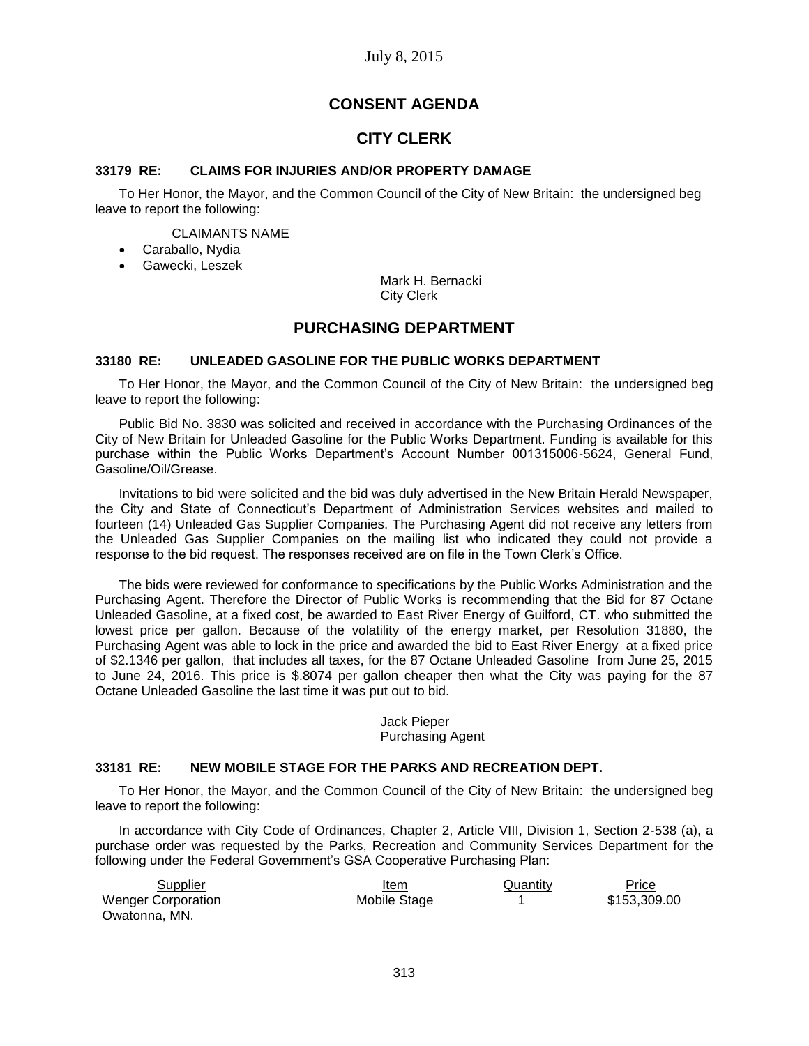# **CONSENT AGENDA**

# **CITY CLERK**

## **33179 RE: CLAIMS FOR INJURIES AND/OR PROPERTY DAMAGE**

To Her Honor, the Mayor, and the Common Council of the City of New Britain: the undersigned beg leave to report the following:

## CLAIMANTS NAME

- Caraballo, Nydia
- Gawecki, Leszek

Mark H. Bernacki City Clerk

# **PURCHASING DEPARTMENT**

#### **33180 RE: UNLEADED GASOLINE FOR THE PUBLIC WORKS DEPARTMENT**

To Her Honor, the Mayor, and the Common Council of the City of New Britain: the undersigned beg leave to report the following:

Public Bid No. 3830 was solicited and received in accordance with the Purchasing Ordinances of the City of New Britain for Unleaded Gasoline for the Public Works Department. Funding is available for this purchase within the Public Works Department's Account Number 001315006-5624, General Fund, Gasoline/Oil/Grease.

Invitations to bid were solicited and the bid was duly advertised in the New Britain Herald Newspaper, the City and State of Connecticut's Department of Administration Services websites and mailed to fourteen (14) Unleaded Gas Supplier Companies. The Purchasing Agent did not receive any letters from the Unleaded Gas Supplier Companies on the mailing list who indicated they could not provide a response to the bid request. The responses received are on file in the Town Clerk's Office.

The bids were reviewed for conformance to specifications by the Public Works Administration and the Purchasing Agent. Therefore the Director of Public Works is recommending that the Bid for 87 Octane Unleaded Gasoline, at a fixed cost, be awarded to East River Energy of Guilford, CT. who submitted the lowest price per gallon. Because of the volatility of the energy market, per Resolution 31880, the Purchasing Agent was able to lock in the price and awarded the bid to East River Energy at a fixed price of \$2.1346 per gallon, that includes all taxes, for the 87 Octane Unleaded Gasoline from June 25, 2015 to June 24, 2016. This price is \$.8074 per gallon cheaper then what the City was paying for the 87 Octane Unleaded Gasoline the last time it was put out to bid.

## Jack Pieper Purchasing Agent

#### **33181 RE: NEW MOBILE STAGE FOR THE PARKS AND RECREATION DEPT.**

To Her Honor, the Mayor, and the Common Council of the City of New Britain: the undersigned beg leave to report the following:

In accordance with City Code of Ordinances, Chapter 2, Article VIII, Division 1, Section 2-538 (a), a purchase order was requested by the Parks, Recreation and Community Services Department for the following under the Federal Government's GSA Cooperative Purchasing Plan:

| Supplier                  | Item         | Quantity | Price        |
|---------------------------|--------------|----------|--------------|
| <b>Wenger Corporation</b> | Mobile Stage |          | \$153,309.00 |
| Owatonna, MN.             |              |          |              |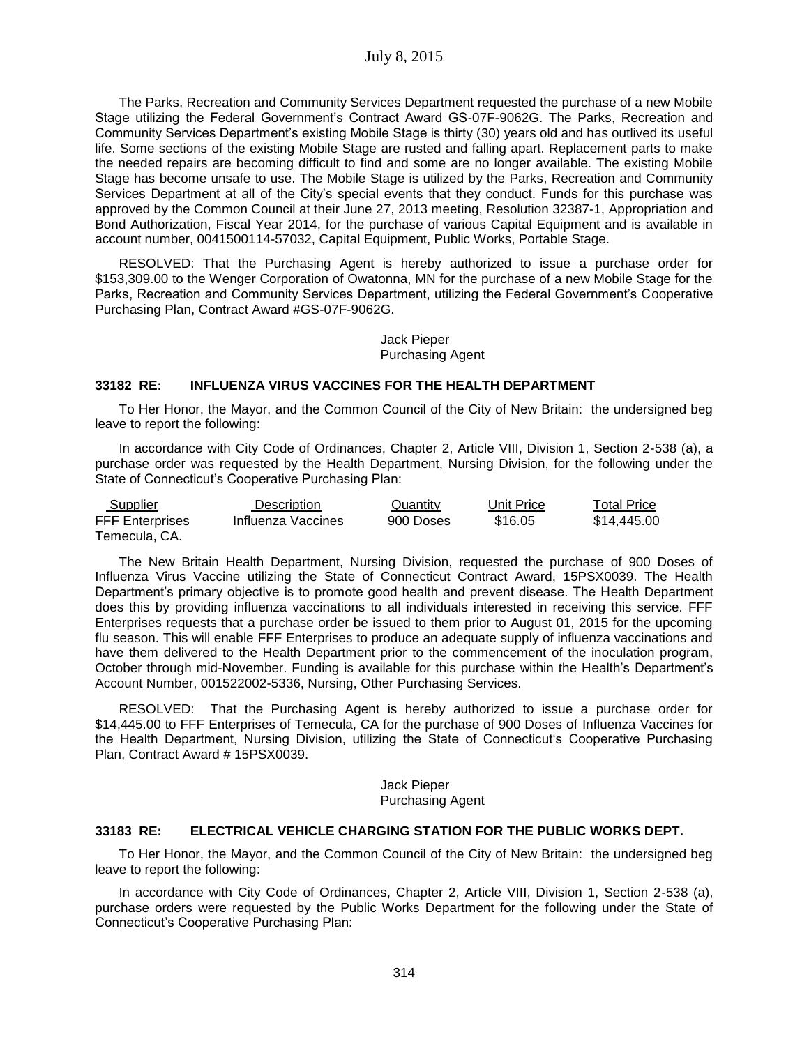The Parks, Recreation and Community Services Department requested the purchase of a new Mobile Stage utilizing the Federal Government's Contract Award GS-07F-9062G. The Parks, Recreation and Community Services Department's existing Mobile Stage is thirty (30) years old and has outlived its useful life. Some sections of the existing Mobile Stage are rusted and falling apart. Replacement parts to make the needed repairs are becoming difficult to find and some are no longer available. The existing Mobile Stage has become unsafe to use. The Mobile Stage is utilized by the Parks, Recreation and Community Services Department at all of the City's special events that they conduct. Funds for this purchase was approved by the Common Council at their June 27, 2013 meeting, Resolution 32387-1, Appropriation and Bond Authorization, Fiscal Year 2014, for the purchase of various Capital Equipment and is available in account number, 0041500114-57032, Capital Equipment, Public Works, Portable Stage.

RESOLVED: That the Purchasing Agent is hereby authorized to issue a purchase order for \$153,309.00 to the Wenger Corporation of Owatonna, MN for the purchase of a new Mobile Stage for the Parks, Recreation and Community Services Department, utilizing the Federal Government's Cooperative Purchasing Plan, Contract Award #GS-07F-9062G.

#### Jack Pieper Purchasing Agent

## **33182 RE: INFLUENZA VIRUS VACCINES FOR THE HEALTH DEPARTMENT**

To Her Honor, the Mayor, and the Common Council of the City of New Britain: the undersigned beg leave to report the following:

In accordance with City Code of Ordinances, Chapter 2, Article VIII, Division 1, Section 2-538 (a), a purchase order was requested by the Health Department, Nursing Division, for the following under the State of Connecticut's Cooperative Purchasing Plan:

| Supplier               | Description        | Quantity  | Unit Price | <b>Total Price</b> |
|------------------------|--------------------|-----------|------------|--------------------|
| <b>FFF Enterprises</b> | Influenza Vaccines | 900 Doses | \$16.05    | \$14,445.00        |
| Temecula, CA.          |                    |           |            |                    |

The New Britain Health Department, Nursing Division, requested the purchase of 900 Doses of Influenza Virus Vaccine utilizing the State of Connecticut Contract Award, 15PSX0039. The Health Department's primary objective is to promote good health and prevent disease. The Health Department does this by providing influenza vaccinations to all individuals interested in receiving this service. FFF Enterprises requests that a purchase order be issued to them prior to August 01, 2015 for the upcoming flu season. This will enable FFF Enterprises to produce an adequate supply of influenza vaccinations and have them delivered to the Health Department prior to the commencement of the inoculation program, October through mid-November. Funding is available for this purchase within the Health's Department's Account Number, 001522002-5336, Nursing, Other Purchasing Services.

RESOLVED: That the Purchasing Agent is hereby authorized to issue a purchase order for \$14,445.00 to FFF Enterprises of Temecula, CA for the purchase of 900 Doses of Influenza Vaccines for the Health Department, Nursing Division, utilizing the State of Connecticut's Cooperative Purchasing Plan, Contract Award # 15PSX0039.

#### Jack Pieper Purchasing Agent

#### **33183 RE: ELECTRICAL VEHICLE CHARGING STATION FOR THE PUBLIC WORKS DEPT.**

To Her Honor, the Mayor, and the Common Council of the City of New Britain: the undersigned beg leave to report the following:

In accordance with City Code of Ordinances, Chapter 2, Article VIII, Division 1, Section 2-538 (a), purchase orders were requested by the Public Works Department for the following under the State of Connecticut's Cooperative Purchasing Plan: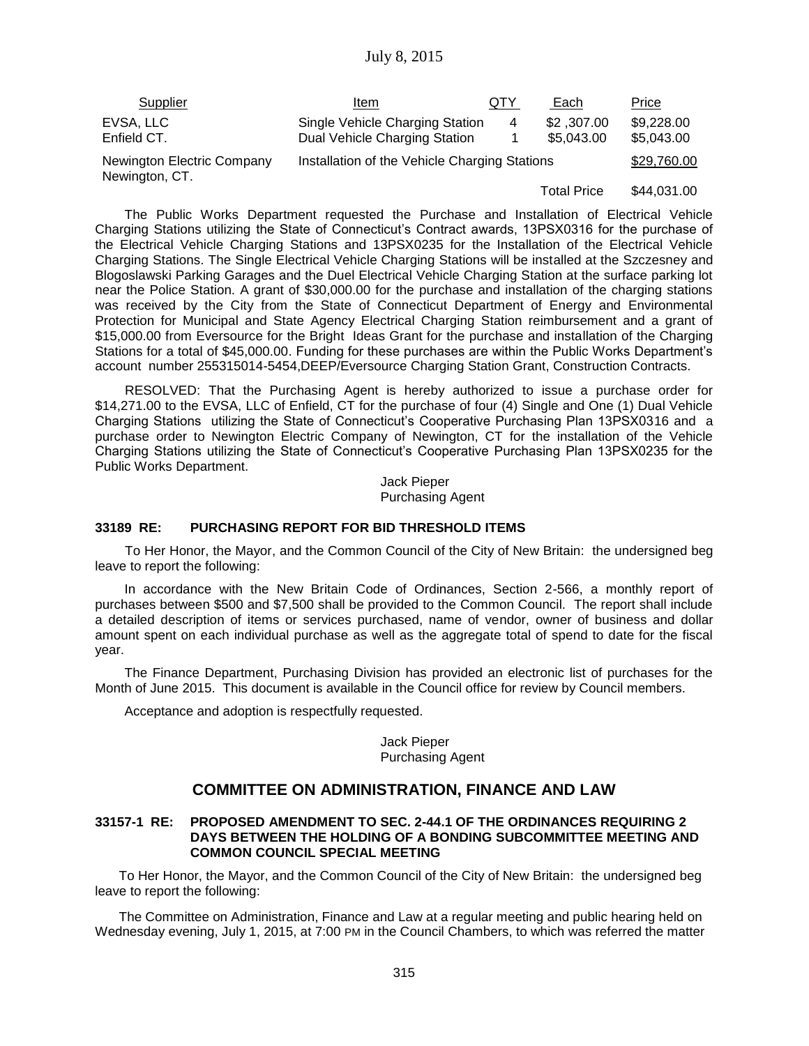| Supplier                                     | Item                                                             | QTY | Each                     | Price                    |
|----------------------------------------------|------------------------------------------------------------------|-----|--------------------------|--------------------------|
| EVSA, LLC<br>Enfield CT.                     | Single Vehicle Charging Station<br>Dual Vehicle Charging Station | 4   | \$2,307.00<br>\$5,043.00 | \$9,228.00<br>\$5,043.00 |
| Newington Electric Company<br>Newington, CT. | Installation of the Vehicle Charging Stations                    |     | \$29,760.00              |                          |
|                                              |                                                                  |     | Total Price              | \$44,031,00              |

The Public Works Department requested the Purchase and Installation of Electrical Vehicle Charging Stations utilizing the State of Connecticut's Contract awards, 13PSX0316 for the purchase of the Electrical Vehicle Charging Stations and 13PSX0235 for the Installation of the Electrical Vehicle Charging Stations. The Single Electrical Vehicle Charging Stations will be installed at the Szczesney and Blogoslawski Parking Garages and the Duel Electrical Vehicle Charging Station at the surface parking lot near the Police Station. A grant of \$30,000.00 for the purchase and installation of the charging stations was received by the City from the State of Connecticut Department of Energy and Environmental Protection for Municipal and State Agency Electrical Charging Station reimbursement and a grant of \$15,000.00 from Eversource for the Bright Ideas Grant for the purchase and installation of the Charging Stations for a total of \$45,000.00. Funding for these purchases are within the Public Works Department's account number 255315014-5454,DEEP/Eversource Charging Station Grant, Construction Contracts.

RESOLVED: That the Purchasing Agent is hereby authorized to issue a purchase order for \$14,271.00 to the EVSA, LLC of Enfield, CT for the purchase of four (4) Single and One (1) Dual Vehicle Charging Stations utilizing the State of Connecticut's Cooperative Purchasing Plan 13PSX0316 and a purchase order to Newington Electric Company of Newington, CT for the installation of the Vehicle Charging Stations utilizing the State of Connecticut's Cooperative Purchasing Plan 13PSX0235 for the Public Works Department.

> Jack Pieper Purchasing Agent

## **33189 RE: PURCHASING REPORT FOR BID THRESHOLD ITEMS**

To Her Honor, the Mayor, and the Common Council of the City of New Britain: the undersigned beg leave to report the following:

In accordance with the New Britain Code of Ordinances, Section 2-566, a monthly report of purchases between \$500 and \$7,500 shall be provided to the Common Council. The report shall include a detailed description of items or services purchased, name of vendor, owner of business and dollar amount spent on each individual purchase as well as the aggregate total of spend to date for the fiscal year.

The Finance Department, Purchasing Division has provided an electronic list of purchases for the Month of June 2015. This document is available in the Council office for review by Council members.

Acceptance and adoption is respectfully requested.

#### Jack Pieper Purchasing Agent

# **COMMITTEE ON ADMINISTRATION, FINANCE AND LAW**

#### **33157-1 RE: PROPOSED AMENDMENT TO SEC. 2-44.1 OF THE ORDINANCES REQUIRING 2 DAYS BETWEEN THE HOLDING OF A BONDING SUBCOMMITTEE MEETING AND COMMON COUNCIL SPECIAL MEETING**

To Her Honor, the Mayor, and the Common Council of the City of New Britain: the undersigned beg leave to report the following:

The Committee on Administration, Finance and Law at a regular meeting and public hearing held on Wednesday evening, July 1, 2015, at 7:00 PM in the Council Chambers, to which was referred the matter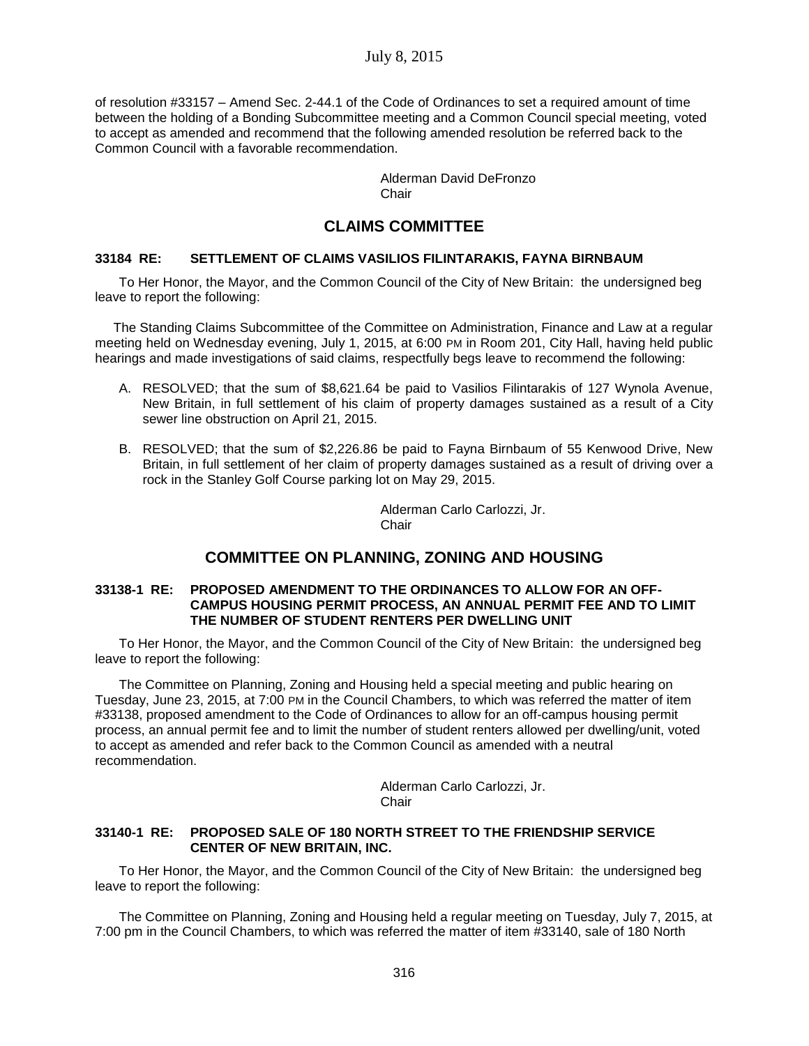of resolution #33157 – Amend Sec. 2-44.1 of the Code of Ordinances to set a required amount of time between the holding of a Bonding Subcommittee meeting and a Common Council special meeting, voted to accept as amended and recommend that the following amended resolution be referred back to the Common Council with a favorable recommendation.

> Alderman David DeFronzo Chair

# **CLAIMS COMMITTEE**

### **33184 RE: SETTLEMENT OF CLAIMS VASILIOS FILINTARAKIS, FAYNA BIRNBAUM**

To Her Honor, the Mayor, and the Common Council of the City of New Britain: the undersigned beg leave to report the following:

 The Standing Claims Subcommittee of the Committee on Administration, Finance and Law at a regular meeting held on Wednesday evening, July 1, 2015, at 6:00 PM in Room 201, City Hall, having held public hearings and made investigations of said claims, respectfully begs leave to recommend the following:

- A. RESOLVED; that the sum of \$8,621.64 be paid to Vasilios Filintarakis of 127 Wynola Avenue, New Britain, in full settlement of his claim of property damages sustained as a result of a City sewer line obstruction on April 21, 2015.
- B. RESOLVED; that the sum of \$2,226.86 be paid to Fayna Birnbaum of 55 Kenwood Drive, New Britain, in full settlement of her claim of property damages sustained as a result of driving over a rock in the Stanley Golf Course parking lot on May 29, 2015.

Alderman Carlo Carlozzi, Jr. **Chair** 

# **COMMITTEE ON PLANNING, ZONING AND HOUSING**

#### **33138-1 RE: PROPOSED AMENDMENT TO THE ORDINANCES TO ALLOW FOR AN OFF-CAMPUS HOUSING PERMIT PROCESS, AN ANNUAL PERMIT FEE AND TO LIMIT THE NUMBER OF STUDENT RENTERS PER DWELLING UNIT**

To Her Honor, the Mayor, and the Common Council of the City of New Britain: the undersigned beg leave to report the following:

The Committee on Planning, Zoning and Housing held a special meeting and public hearing on Tuesday, June 23, 2015, at 7:00 PM in the Council Chambers, to which was referred the matter of item #33138, proposed amendment to the Code of Ordinances to allow for an off-campus housing permit process, an annual permit fee and to limit the number of student renters allowed per dwelling/unit, voted to accept as amended and refer back to the Common Council as amended with a neutral recommendation.

> Alderman Carlo Carlozzi, Jr. **Chair**

## **33140-1 RE: PROPOSED SALE OF 180 NORTH STREET TO THE FRIENDSHIP SERVICE CENTER OF NEW BRITAIN, INC.**

To Her Honor, the Mayor, and the Common Council of the City of New Britain: the undersigned beg leave to report the following:

The Committee on Planning, Zoning and Housing held a regular meeting on Tuesday, July 7, 2015, at 7:00 pm in the Council Chambers, to which was referred the matter of item #33140, sale of 180 North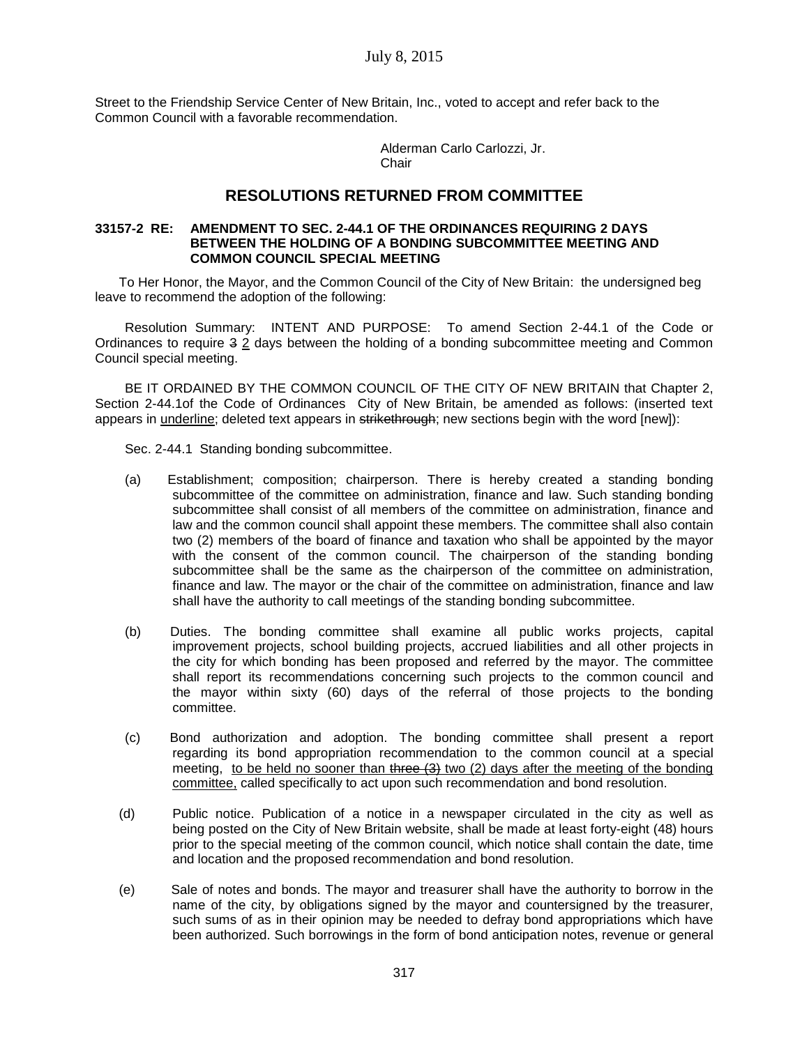Street to the Friendship Service Center of New Britain, Inc., voted to accept and refer back to the Common Council with a favorable recommendation.

> Alderman Carlo Carlozzi, Jr. **Chair**

## **RESOLUTIONS RETURNED FROM COMMITTEE**

#### **33157-2 RE: AMENDMENT TO SEC. 2-44.1 OF THE ORDINANCES REQUIRING 2 DAYS BETWEEN THE HOLDING OF A BONDING SUBCOMMITTEE MEETING AND COMMON COUNCIL SPECIAL MEETING**

To Her Honor, the Mayor, and the Common Council of the City of New Britain: the undersigned beg leave to recommend the adoption of the following:

Resolution Summary: INTENT AND PURPOSE: To amend Section 2-44.1 of the Code or Ordinances to require 3 2 days between the holding of a bonding subcommittee meeting and Common Council special meeting.

BE IT ORDAINED BY THE COMMON COUNCIL OF THE CITY OF NEW BRITAIN that Chapter 2, Section 2-44.1of the Code of Ordinances City of New Britain, be amended as follows: (inserted text appears in underline; deleted text appears in strikethrough; new sections begin with the word [new]):

Sec. 2-44.1 Standing bonding subcommittee.

- (a) Establishment; composition; chairperson. There is hereby created a standing bonding subcommittee of the committee on administration, finance and law. Such standing bonding subcommittee shall consist of all members of the committee on administration, finance and law and the common council shall appoint these members. The committee shall also contain two (2) members of the board of finance and taxation who shall be appointed by the mayor with the consent of the common council. The chairperson of the standing bonding subcommittee shall be the same as the chairperson of the committee on administration, finance and law. The mayor or the chair of the committee on administration, finance and law shall have the authority to call meetings of the standing bonding subcommittee.
- (b) Duties. The bonding committee shall examine all public works projects, capital improvement projects, school building projects, accrued liabilities and all other projects in the city for which bonding has been proposed and referred by the mayor. The committee shall report its recommendations concerning such projects to the common council and the mayor within sixty (60) days of the referral of those projects to the bonding committee.
- (c) Bond authorization and adoption. The bonding committee shall present a report regarding its bond appropriation recommendation to the common council at a special meeting, to be held no sooner than three (3) two (2) days after the meeting of the bonding committee, called specifically to act upon such recommendation and bond resolution.
- (d) Public notice. Publication of a notice in a newspaper circulated in the city as well as being posted on the City of New Britain website, shall be made at least forty-eight (48) hours prior to the special meeting of the common council, which notice shall contain the date, time and location and the proposed recommendation and bond resolution.
- (e) Sale of notes and bonds. The mayor and treasurer shall have the authority to borrow in the name of the city, by obligations signed by the mayor and countersigned by the treasurer, such sums of as in their opinion may be needed to defray bond appropriations which have been authorized. Such borrowings in the form of bond anticipation notes, revenue or general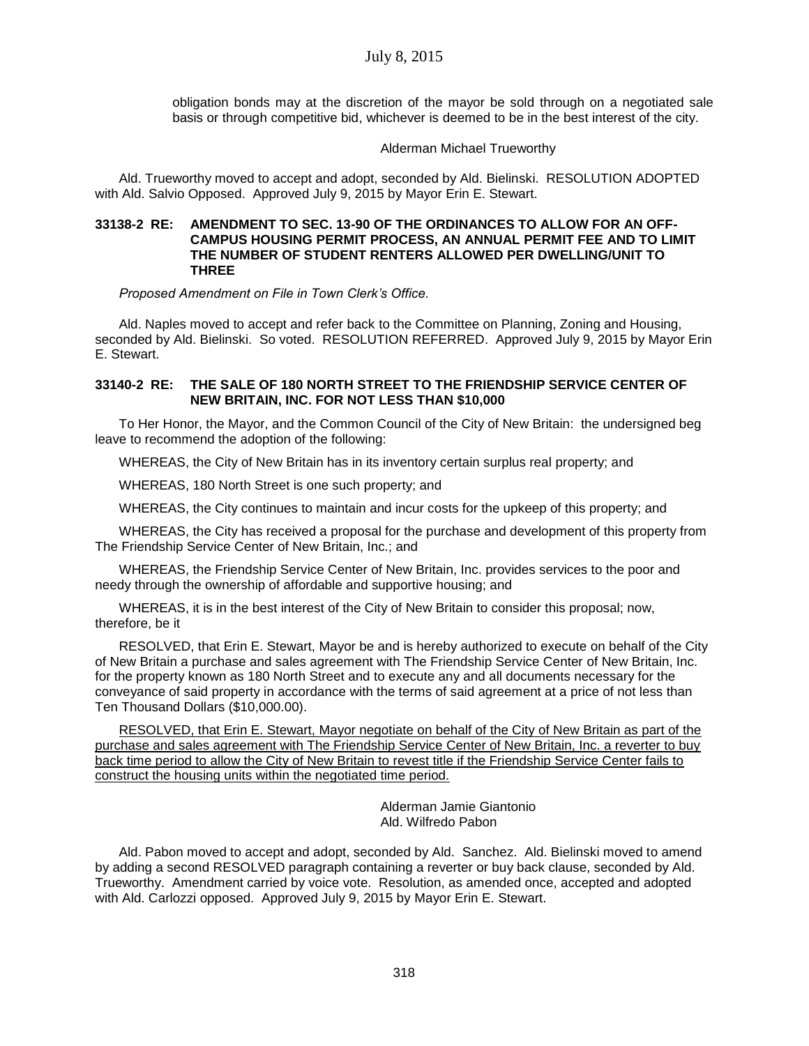obligation bonds may at the discretion of the mayor be sold through on a negotiated sale basis or through competitive bid, whichever is deemed to be in the best interest of the city.

### Alderman Michael Trueworthy

Ald. Trueworthy moved to accept and adopt, seconded by Ald. Bielinski. RESOLUTION ADOPTED with Ald. Salvio Opposed. Approved July 9, 2015 by Mayor Erin E. Stewart.

#### **33138-2 RE: AMENDMENT TO SEC. 13-90 OF THE ORDINANCES TO ALLOW FOR AN OFF-CAMPUS HOUSING PERMIT PROCESS, AN ANNUAL PERMIT FEE AND TO LIMIT THE NUMBER OF STUDENT RENTERS ALLOWED PER DWELLING/UNIT TO THREE**

*Proposed Amendment on File in Town Clerk's Office.*

Ald. Naples moved to accept and refer back to the Committee on Planning, Zoning and Housing, seconded by Ald. Bielinski. So voted. RESOLUTION REFERRED. Approved July 9, 2015 by Mayor Erin E. Stewart.

## **33140-2 RE: THE SALE OF 180 NORTH STREET TO THE FRIENDSHIP SERVICE CENTER OF NEW BRITAIN, INC. FOR NOT LESS THAN \$10,000**

To Her Honor, the Mayor, and the Common Council of the City of New Britain: the undersigned beg leave to recommend the adoption of the following:

WHEREAS, the City of New Britain has in its inventory certain surplus real property; and

WHEREAS, 180 North Street is one such property; and

WHEREAS, the City continues to maintain and incur costs for the upkeep of this property; and

WHEREAS, the City has received a proposal for the purchase and development of this property from The Friendship Service Center of New Britain, Inc.; and

WHEREAS, the Friendship Service Center of New Britain, Inc. provides services to the poor and needy through the ownership of affordable and supportive housing; and

WHEREAS, it is in the best interest of the City of New Britain to consider this proposal; now, therefore, be it

RESOLVED, that Erin E. Stewart, Mayor be and is hereby authorized to execute on behalf of the City of New Britain a purchase and sales agreement with The Friendship Service Center of New Britain, Inc. for the property known as 180 North Street and to execute any and all documents necessary for the conveyance of said property in accordance with the terms of said agreement at a price of not less than Ten Thousand Dollars (\$10,000.00).

RESOLVED, that Erin E. Stewart, Mayor negotiate on behalf of the City of New Britain as part of the purchase and sales agreement with The Friendship Service Center of New Britain, Inc. a reverter to buy back time period to allow the City of New Britain to revest title if the Friendship Service Center fails to construct the housing units within the negotiated time period.

> Alderman Jamie Giantonio Ald. Wilfredo Pabon

Ald. Pabon moved to accept and adopt, seconded by Ald. Sanchez. Ald. Bielinski moved to amend by adding a second RESOLVED paragraph containing a reverter or buy back clause, seconded by Ald. Trueworthy. Amendment carried by voice vote. Resolution, as amended once, accepted and adopted with Ald. Carlozzi opposed. Approved July 9, 2015 by Mayor Erin E. Stewart.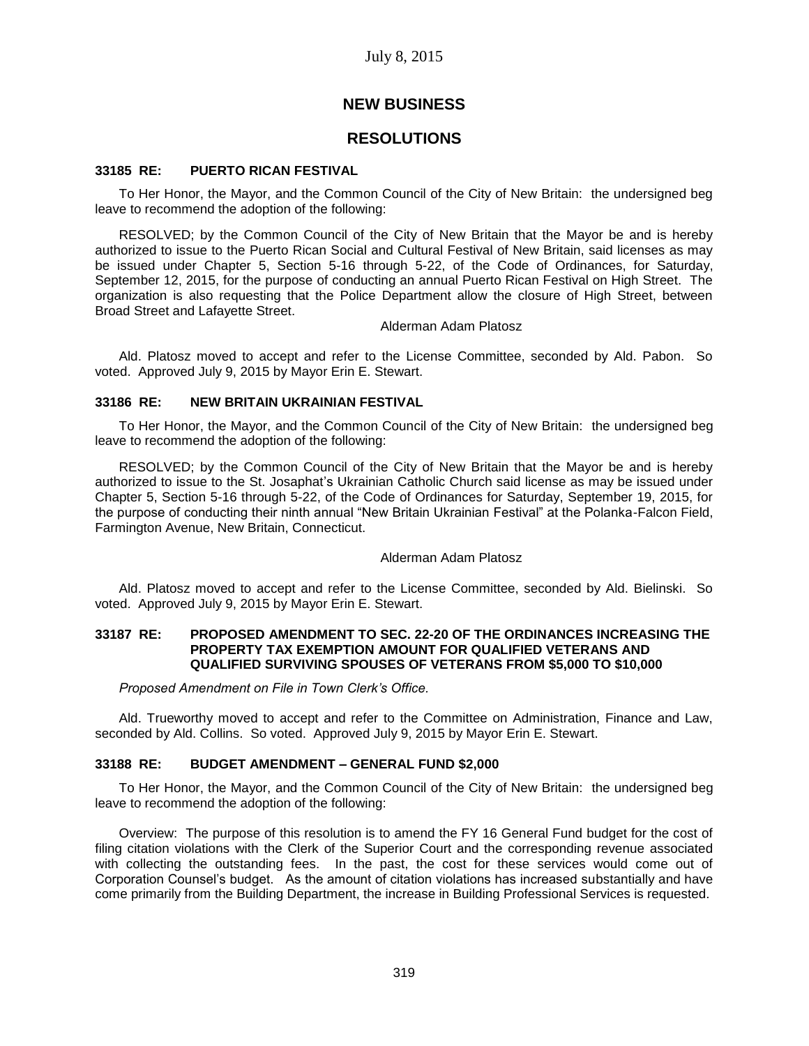## **NEW BUSINESS**

## **RESOLUTIONS**

#### **33185 RE: PUERTO RICAN FESTIVAL**

To Her Honor, the Mayor, and the Common Council of the City of New Britain: the undersigned beg leave to recommend the adoption of the following:

RESOLVED; by the Common Council of the City of New Britain that the Mayor be and is hereby authorized to issue to the Puerto Rican Social and Cultural Festival of New Britain, said licenses as may be issued under Chapter 5, Section 5-16 through 5-22, of the Code of Ordinances, for Saturday, September 12, 2015, for the purpose of conducting an annual Puerto Rican Festival on High Street. The organization is also requesting that the Police Department allow the closure of High Street, between Broad Street and Lafayette Street.

#### Alderman Adam Platosz

Ald. Platosz moved to accept and refer to the License Committee, seconded by Ald. Pabon. So voted. Approved July 9, 2015 by Mayor Erin E. Stewart.

#### **33186 RE: NEW BRITAIN UKRAINIAN FESTIVAL**

To Her Honor, the Mayor, and the Common Council of the City of New Britain: the undersigned beg leave to recommend the adoption of the following:

RESOLVED; by the Common Council of the City of New Britain that the Mayor be and is hereby authorized to issue to the St. Josaphat's Ukrainian Catholic Church said license as may be issued under Chapter 5, Section 5-16 through 5-22, of the Code of Ordinances for Saturday, September 19, 2015, for the purpose of conducting their ninth annual "New Britain Ukrainian Festival" at the Polanka-Falcon Field, Farmington Avenue, New Britain, Connecticut.

#### Alderman Adam Platosz

Ald. Platosz moved to accept and refer to the License Committee, seconded by Ald. Bielinski. So voted. Approved July 9, 2015 by Mayor Erin E. Stewart.

#### **33187 RE: PROPOSED AMENDMENT TO SEC. 22-20 OF THE ORDINANCES INCREASING THE PROPERTY TAX EXEMPTION AMOUNT FOR QUALIFIED VETERANS AND QUALIFIED SURVIVING SPOUSES OF VETERANS FROM \$5,000 TO \$10,000**

*Proposed Amendment on File in Town Clerk's Office.*

Ald. Trueworthy moved to accept and refer to the Committee on Administration, Finance and Law, seconded by Ald. Collins. So voted. Approved July 9, 2015 by Mayor Erin E. Stewart.

#### **33188 RE: BUDGET AMENDMENT – GENERAL FUND \$2,000**

To Her Honor, the Mayor, and the Common Council of the City of New Britain: the undersigned beg leave to recommend the adoption of the following:

Overview: The purpose of this resolution is to amend the FY 16 General Fund budget for the cost of filing citation violations with the Clerk of the Superior Court and the corresponding revenue associated with collecting the outstanding fees. In the past, the cost for these services would come out of Corporation Counsel's budget. As the amount of citation violations has increased substantially and have come primarily from the Building Department, the increase in Building Professional Services is requested.